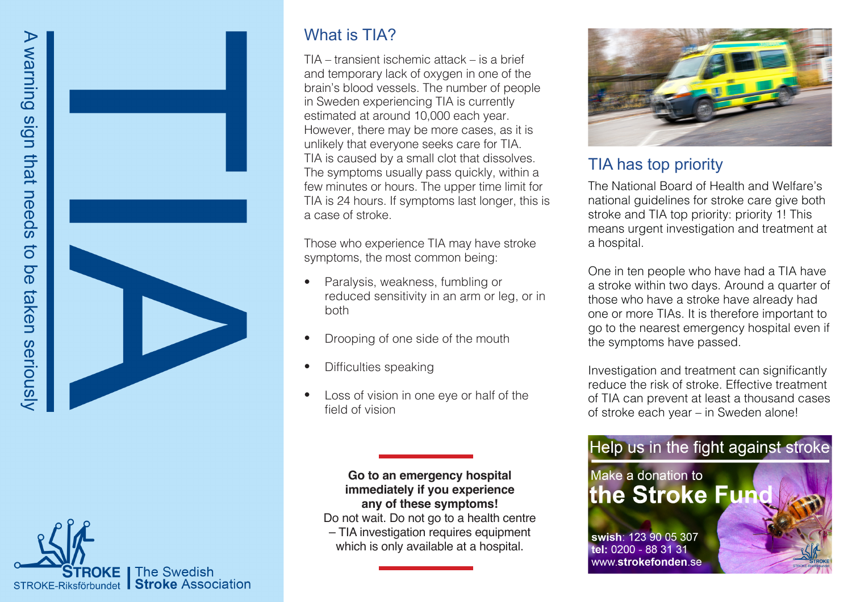



## What is **TIA?**

TIA – transient ischemic attack – is a brief and temporary lack of oxygen in one of the brain's blood vessels. The number of people in Sweden experiencing TIA is currently estimated at around 10,000 each year. However, there may be more cases, as it is unlikely that everyone seeks care for TIA. TIA is caused by a small clot that dissolves. The symptoms usually pass quickly, within a few minutes or hours. The upper time limit for TIA is 24 hours. If symptoms last longer, this is a case of stroke.

Those who experience TIA may have stroke symptoms, the most common being:

- Paralysis, weakness, fumbling or reduced sensitivity in an arm or leg, or in both •
- Drooping of one side of the mouth •
- Difficulties speaking •
- Loss of vision in one eye or half of the field of vision •

#### **Go to an emergency hospital immediately if you experience any of these symptoms!**

Do not wait. Do not go to a health centre – TIA investigation requires equipment which is only available at a hospital.



### TIA has top priority

The National Board of Health and Welfare's national guidelines for stroke care give both stroke and TIA top priority: priority 1! This means urgent investigation and treatment at a hospital.

One in ten people who have had a TIA have a stroke within two days. Around a quarter of those who have a stroke have already had one or more TIAs. It is therefore important to go to the nearest emergency hospital even if the symptoms have passed.

Investigation and treatment can significantly reduce the risk of stroke. Effective treatment of TIA can prevent at least a thousand cases of stroke each year – in Sweden alone!

# Help us in the fight against stroke Make a donation to the Stroke Fun swish: 123 90 05 307 tel: 0200 - 88 31 31

www.strokefonden.se